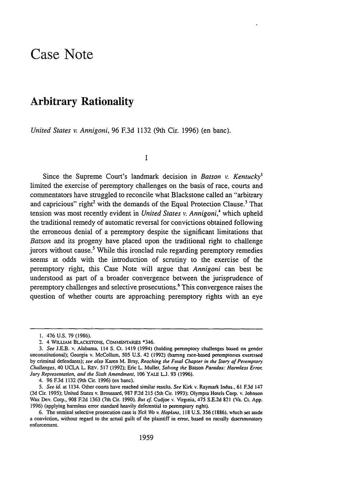## Case Note

## Arbitrary Rationality

*United States v. Annigoni,* 96 **F.3d** 1132 (9th Cir. 1996) (en banc).

**I**

Since the Supreme Court's landmark decision in *Batson v. Kentucky*<sup>1</sup> limited the exercise of peremptory challenges on the basis of race, courts and commentators have struggled to reconcile what Blackstone called an "arbitrary and capricious" right<sup>2</sup> with the demands of the Equal Protection Clause.<sup>3</sup> That tension was most recently evident in *United States v. Annigoni*,<sup>4</sup> which upheld the traditional remedy of automatic reversal for convictions obtained following the erroneous denial of a peremptory despite the significant limitations that *Batson* and its progeny have placed upon the traditional fight to challenge jurors without cause.<sup>5</sup> While this ironclad rule regarding peremptory remedies seems at odds with the introduction of scrutiny to the exercise of the peremptory right, this Case Note will argue that *Annigoni* can best be understood as part of a broader convergence between the jurisprudence of peremptory challenges and selective prosecutions.6 This convergence raises the question of whether courts are approaching peremptory fights with an eye

4. 96 **F.3d** 1132 (9th Cir. 1996) (en banc).

<sup>1. 476</sup> U.S. 79 (1986).

<sup>2. 4</sup> WILuAM **BLACKSTONE,** COMMENrTARtS **\*346.**

*<sup>3.</sup> See* J.E.B. v. Alabama, 114 **S.** Ct. 1419 (1994) (holding peremptory challenges based on gender unconstitutional); Georgia v. McCollum, 505 U.S. 42 (1992) (barrng race-based peremptones exercised by criminal defendants); *see also* Karen M. Bray. *Reaching rie Final Chapter in the Story of Peremptory Challenges,* 40 UCLA L. REv. 517 (1992); Eric L. Muller. *Solving the* Batson *Paradox: Harmless Error Jury Representation, and the Sixth Amendment.* 106 **YALE Li.** 93 (1996).

*<sup>5.</sup> See id.* at 1134. Other courts have reached similar results. *See* Kirk v. Raymark Indus., 61 F.3d 147 (3d Cir. 1995); United States v. Broussard, 987 F.2d 215 (5th Cir. 1993); Olympia Hotels Corp. v. Johnson Wax Dev. Corp., 908 E2d 1363 (7th Cir. 1990). *But cf* Cudjoe v. Virginia. 475 S.E.2d 821 (Va. Ct. App. 1996) (applying harmless error standard heavily deferential to peremptory right).

<sup>6.</sup> The seminal selective prosecution case is *lick Wo* it *Hopkins.* **118** U.S. 356 **(1886).** which set aside a conviction, without regard to the actual guilt of the plaintiff in error, based on racially dscnrunatory enforcement.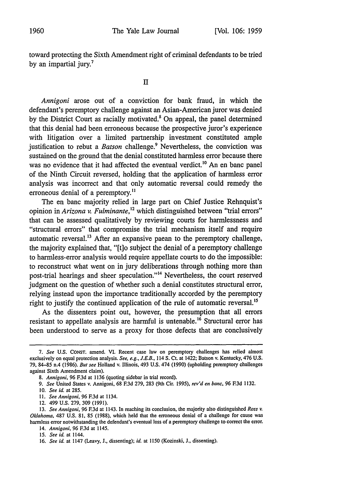toward protecting the Sixth Amendment right of criminal defendants to be tried by an impartial jury.<sup>7</sup>

*Annigoni* arose out of a conviction for bank fraud, in which the defendant's peremptory challenge against an Asian-American juror was denied by the District Court as racially motivated.<sup>8</sup> On appeal, the panel determined that this denial had been erroneous because the prospective juror's experience with litigation over a limited partnership investment constituted ample justification to rebut a *Batson* challenge.<sup>9</sup> Nevertheless, the conviction was sustained on the ground that the denial constituted harmless error because there was no evidence that it had affected the eventual verdict.<sup>10</sup> An en banc panel of the Ninth Circuit reversed, holding that the application of harmless error analysis was incorrect and that only automatic reversal could remedy the erroneous denial of a peremptory.<sup>11</sup>

The en banc majority relied in large part on Chief Justice Rehnquist's opinion in *Arizona v. Fulminante*,<sup>12</sup> which distinguished between "trial errors" that can be assessed qualitatively by reviewing courts for harmlessness and "structural errors" that compromise the trial mechanism itself and require automatic reversal.<sup>13</sup> After an expansive paean to the peremptory challenge, the majority explained that, "[t]o subject the denial of a peremptory challenge to harmless-error analysis would require appellate courts to do the impossible: to reconstruct what went on in jury deliberations through nothing more than post-trial hearings and sheer speculation."<sup>14</sup> Nevertheless, the court reserved judgment on the question of whether such a denial constitutes structural error, relying instead upon the importance traditionally accorded by the peremptory right to justify the continued application of the rule of automatic reversal.<sup>15</sup>

As the dissenters point out, however, the presumption that all errors resistant to appellate analysis are harmful is untenable.<sup>16</sup> Structural error has been understood to serve as a proxy for those defects that are conclusively

*<sup>7.</sup> See* **U.S.** CONsT. amend. VI. Recent case law on peremptory challenges has relied almost exclusively on equal protection analysis. *See, e.g., J.E.B.,* 114 S. Ct. at 1422; Batson v. Kentucky, 476 **US.** 79, 84-85 n.4 (1986). *But see* Holland v. Illinois, 493 U.S. 474 (1990) (upholding peremptory challenges against Sixth Amendment claim).

*<sup>8.</sup> Annigoni,* 96 **F.3d** at 1136 (quoting sidebar in trial record).

*<sup>9.</sup> See* United States v. Annigoni, 68 **F.3d** 279, 283 (9th Cir. 1995), *rev'd en banc,* 96 **E3d** 1132.

<sup>10.</sup> *See id.* at 285.

<sup>11.</sup> *See Annigoni,* 96 **F.3d** at 1134.

<sup>12. 499</sup> U.S. 279, 309 (1991).

**<sup>13.</sup>** *See Annigoni,* 96 **F.3d** at 1143. In reaching its conclusion, the majority also distinguished *Ross v. Oklahoma,* 487 U.S. 81, 85 (1988), which held that the erroneous denial of a challenge for cause was harmless error notwithstanding the defendant's eventual loss of a peremptory challenge to correct the error.

<sup>14.</sup> *Annigoni,* 96 **F.3d** at 1145.

<sup>15.</sup> *See id.* at 1144.

<sup>16.</sup> *See id.* at 1147 (Leavy, **J.,** dissenting); *id.* at 1150 (Kozinski, **J.,** dissenting).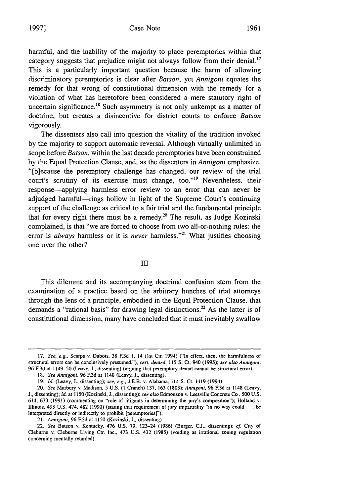harmful, and the inability of the majority to place peremptories within that category suggests that prejudice might not always follow from their denial.<sup>17</sup> This is a particularly important question because the harm of allowing discriminatory peremptories is clear after *Batson,* yet *Annigoni* equates the remedy for that wrong of constitutional dimension with the remedy for a violation of what has heretofore been considered a mere statutory right of uncertain significance.<sup>18</sup> Such asymmetry is not only unkempt as a matter of doctrine, but creates a disincentive for district courts to enforce *Batson* vigorously.

The dissenters also call into question the vitality of the tradition invoked by the majority to support automatic reversal. Although virtually unlimited in scope before *Batson,* within the last decade peremptories have been constrained by the Equal Protection Clause, and, as the dissenters in *Annigoni* emphasize, "[b]ecause the peremptory challenge has changed, our review of the trial court's scrutiny of its exercise must change, too."'9 Nevertheless, their response-applying harmless error review to an error that can never be adjudged harmful-rings hollow in light of the Supreme Court's continuing support of the challenge as critical to a fair trial and the fundamental principle that for every right there must be a remedy.<sup>20</sup> The result, as Judge Kozinski complained, is that "we are forced to choose from two all-or-nothing rules: the error is *always* harmless or it is *never* harmless."<sup>21</sup> What justifies choosing one over the other?

InI

This dilemma and its accompanying doctrinal confusion stem from the examination of a practice based on the arbitrary hunches of trial attorneys through the lens of a principle, embodied in the Equal Protection Clause, that demands a "rational basis" for drawing legal distinctions.<sup>22</sup> As the latter is of constitutional dimension, many have concluded that it must inevitably swallow

21. *Annigoni,* 96 **F.3d** at 1150 (Kozinski, **J.,** dissenting).

22. See Batson v. Kentucky, 476 U.S. 79, 123-24 (1986) (Burger, C.J., dissenting); cf. City of Clebume v. Cleburne Living Ctr. Inc., 473 U.S. 432 (1985) (voiding as irrational zoning regulation concerning mentally retarded).

<sup>17.</sup> See, e.g., Scarpa v. Dubois, 38 **F.3d 1,** 14 (1st Cir. 1994) ("In effect, then, the hannfulness of structural errors can be conclusively presumed."). **cert. dented,** 115 **S. Ct.** 940 (1995); see also **Anugont.** 96 **F.3d** at 1149-50 (Leavy, **J.,** dissenting) (arguing that peremptory denial cannot be structural error).

<sup>18.</sup> *See Annigoni,* 96 **F.3d** at 1148 (Leavy, **J.,** dissenting).

<sup>19.</sup> *Id. (Leavy,* J., dissenting); *see. e.g.,* J.E.B. v. Alabama. 114 **S.** Ct. 1419 (1994)

<sup>20.</sup> *See* Marbury v. Madison, 5 U.S. (I Cranch) 137. 163 (1803); *Anrngoni.* 96 F.3d at 1148 (Leavy. J., dissenting); *id.* at 1150 (Kozinski, J., dissenting); *see* also Edmonson v. Leesville Concrete Co. 500 U.S. 614, 630 (1991) (commenting on "role of litigants in determining the jury's composition"); Holland v. Illinois, 493 U.S. 474, 482 (1990) (stating that requirement of jury impartality "in no way could **.** . be interpreted directly or indirectly to prohibit [peremptories]").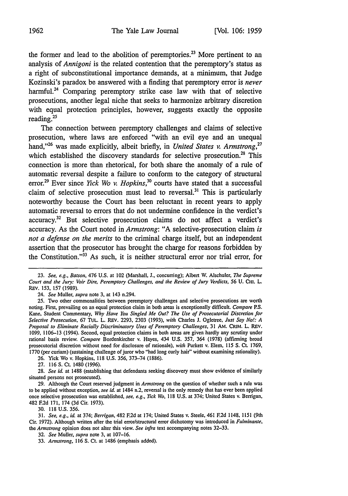the former and lead to the abolition of peremptories.<sup>23</sup> More pertinent to an analysis of *Annigoni* is the related contention that the peremptory's status as a right of subconstitutional importance demands, at a minimum, that Judge Kozinski's paradox be answered with a finding that peremptory error is *never* harmful.<sup>24</sup> Comparing peremptory strike case law with that of selective prosecutions, another legal niche that seeks to harmonize arbitrary discretion with equal protection principles, however, suggests exactly the opposite reading.<sup>25</sup>

The connection between peremptory challenges and claims of selective prosecution, where laws are enforced "with an evil eye and an unequal hand,"<sup>26</sup> was made explicitly, albeit briefly, in *United States v. Armstrong*,<sup>27</sup> which established the discovery standards for selective prosecution.<sup>28</sup> This connection is more than rhetorical, for both share the anomaly of a rule of automatic reversal despite a failure to conform to the category of structural error.<sup>29</sup> Ever since *Yick Wo v. Hopkins*,<sup>30</sup> courts have stated that a successful claim of selective prosecution must lead to reversal.<sup>31</sup> This is particularly noteworthy because the Court has been reluctant in recent years to apply automatic reversal to errors that do not undermine confidence in the verdict's accuracy.<sup>32</sup> But selective prosecution claims do not affect a verdict's accuracy. As the Court noted in *Armstrong:* **"A** selective-prosecution claim *is not a defense on the merits* to the criminal charge itself, but an independent assertion that the prosecutor has brought the charge for reasons forbidden **by** the Constitution." $33$  As such, it is neither structural error nor trial error, for

26. Yick Wo v. Hopkins, 118 U.S. 356, 373-74 (1886). 27. 116 S. Ct. 1480 (1996).

28. *See id.* at 1488 (establishing that defendants seeking discovery must show evidence of similarly situated persons not prosecuted).

29. Although the Court reserved judgment in *Armstrong* on the question of whether such a rule was to be applied without exception, *see id.* at 1484 n.2, reversal is the only remedy that has ever been applied once selective prosecution was established, *see, e.g., Yick Wo,* 118 U.S. at 374; United States v. Berrigan, 482 **F.2d** 171, 174 (3d Cir. 1973).

30. 118 U.S. 356.

31. *See, e.g., id.* at 374; *Berrigan,* 482 F.2d at 174; United States v. Steele, 461 F.2d 1148, 1151 (9th Cir. 1972). Although written after the trial error/structural error dichotomy was introduced in *Fulminante, the Armstrong* opinion does not alter this view. *See infra* text accompanying notes 32-33.

32. *See* Muller, *supra* note **3,** at 107-16.

<sup>23.</sup> *See, e.g., Batson,* 476 U.S. at 102 (Marshall, J., concurring); Albert W. Alschuler, *The Supreme* Court and the Jury: Voir Dire, Peremptory Challenges, and the Review of Jury Verdicts, 56 U. CHI. L. REV. 153, 157 (1989).

<sup>24.</sup> *See* Muller, *supra* note 3, at 143 n.294.

<sup>25.</sup> Two other commonalities between peremptory challenges and selective prosecutions are worth noting. First, prevailing on an equal protection claim in both areas is exceptionally difficult. *Compare* P.S. Kane, Student Commentary, *Why Have You Singled Me Out? The Use of Prosecutorial Discretion for Selective Prosecution,* 67 Tot.. L. REv. 2293, 2303 (1993), *with* Charles J. Ogletree, *Just Say No!: A Proposal to Eliminate Racially Discriminatory Uses of Peremptory Challenges,* 31 AM. CRiM. L. REV. 1099, 1106-13 (1994). Second, equal protection claims in both areas are given hardly any scrutiny under rational basis review. *Compare* Bordenkircher v. Hayes, 434 U.S. 357, 364 (1978) (affirming broad prosecutorial discretion without need for disclosure of rationale), *with* Purkett v. Elem, 115 *S.* Ct. 1769, 1770 (per curiam) (sustaining challenge of juror who "had long curly hair" without examining rationality).

<sup>33.</sup> *Armstrong,* 116 **S.** Ct. at 1486 (emphasis added).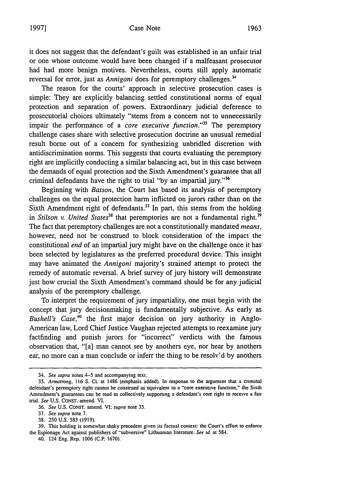## Case Note **19971 1963**

it does not suggest that the defendant's guilt was established in an unfair trial or one whose outcome would have been changed if a malfeasant prosecutor had had more benign motives. Nevertheless, courts still apply automatic reversal for error, just as *Annigoni* does for peremptory challenges.'

The reason for the courts' approach in selective prosecution cases is simple: They are explicitly balancing settled constitutional norms of equal protection and separation of powers. Extraordinary judicial deference to prosecutorial choices ultimately "stems from a concern not to unnecessarily impair the performance of a *core executive function*."<sup>35</sup> The peremptory challenge cases share with selective prosecution doctrine an unusual remedial result borne out of a concern for synthesizing unbridled discretion with antidiscrimination norms. This suggests that courts evaluating the peremptory right are implicitly conducting a similar balancing act, but in this case between the demands of equal protection and the Sixth Amendment's guarantee that all criminal defendants have the right to trial "by an impartial jury."36

Beginning with *Batson,* the Court has based its analysis of peremptory challenges on the equal protection harm inflicted on jurors rather than on the Sixth Amendment right of defendants.<sup>37</sup> In part, this stems from the holding *in Stilson v. United States<sup>38</sup>* that peremptories are not a fundamental right.<sup>39</sup> The fact that peremptory challenges are not a constitutionally mandated *means,* however, need not be construed to block consideration of the impact the constitutional *end* of an impartial jury might have on the challenge once it has been selected by legislatures as the preferred procedural device. This insight may have animated the *Annigoni* majority's strained attempt to protect the remedy of automatic reversal. A brief survey of jury history will demonstrate just how crucial the Sixth Amendment's command should be for any judicial analysis of the peremptory challenge.

To interpret the requirement of jury impartiality, one must begin with the concept that jury decisionmaking is fundamentally subjective. As early as *Bushell's Case*<sup>40</sup> the first major decision on jury authority in Anglo-American law, Lord Chief Justice Vaughan rejected attempts to reexamine jury factfinding and punish jurors for "incorrect" verdicts with the famous observation that, "[a] man cannot see by anothers eye, nor hear by anothers ear, no more can a man conclude or inferr the thing to be resolv'd by anothers

40. 124 Eng. Rep. **1006 (C.P. 1670).**

<sup>34.</sup> *See supra* notes 4-5 and accompanying text.

*<sup>35.</sup> Armstrong,* 116 **S. Ct.** at 1486 (emphasis added). In response **to** the argument that a criminal defendant's peremptory right cannot be construed as equivalent to a "core execuuvc function," the Sixth Amendment's guarantees can be read as collectively supporting a defendant's core right to **receive** a fair trial. *See* U.S. CONST. amend. VI.

<sup>36.</sup> See U.S. **CONST.** amend. VI. *supra* note **35.**

**<sup>37.</sup>** See supra note 7.

<sup>38.</sup> 230 U.S. 583 (1919).

**<sup>39.</sup>** This holding **is** somewhat shaky precedent given **its** factual context: the **Court's** effort **to** enforce the Espionage Act against publishers of "subversive" Lithuanian literature. See id. at 584.